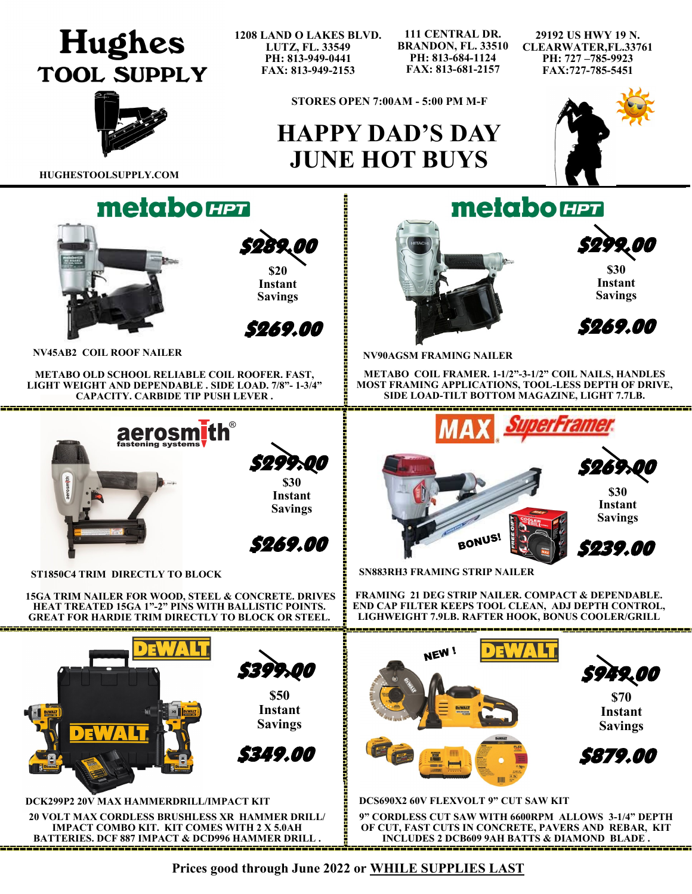## **Hughes TOOL SUPPLY**

**1208 LAND O LAKES BLVD. LUTZ, FL. 33549 PH: 813-949-0441 FAX: 813-949-2153**

**111 CENTRAL DR. BRANDON, FL. 33510 PH: 813-684-1124 FAX: 813-681-2157**

**29192 US HWY 19 N. CLEARWATER,FL.33761 PH: 727 –785-9923 FAX:727-785-5451**



**STORES OPEN 7:00AM - 5:00 PM M-F**

## **HAPPY DAD'S DAY JUNE HOT BUYS**

**HUGHESTOOLSUPPLY.COM**



 \$289.00 **\$20 Instant Savings** 



**NV45AB2 COIL ROOF NAILER** 

**METABO OLD SCHOOL RELIABLE COIL ROOFER. FAST, LIGHT WEIGHT AND DEPENDABLE . SIDE LOAD. 7/8"- 1-3/4" CAPACITY. CARBIDE TIP PUSH LEVER .** 



**ST1850C4 TRIM DIRECTLY TO BLOCK**

**15GA TRIM NAILER FOR WOOD, STEEL & CONCRETE. DRIVES HEAT TREATED 15GA 1"-2" PINS WITH BALLISTIC POINTS. GREAT FOR HARDIE TRIM DIRECTLY TO BLOCK OR STEEL.**





**\$30 Instant Savings** 

\$269.00

**NV90AGSM FRAMING NAILER**

**METABO COIL FRAMER. 1-1/2"-3-1/2" COIL NAILS, HANDLES MOST FRAMING APPLICATIONS, TOOL-LESS DEPTH OF DRIVE, SIDE LOAD-TILT BOTTOM MAGAZINE, LIGHT 7.7LB.** 



**SN883RH3 FRAMING STRIP NAILER**

**FRAMING 21 DEG STRIP NAILER. COMPACT & DEPENDABLE. END CAP FILTER KEEPS TOOL CLEAN, ADJ DEPTH CONTROL, LIGHWEIGHT 7.9LB. RAFTER HOOK, BONUS COOLER/GRILL**



**Prices good through June 2022 or WHILE SUPPLIES LAST**